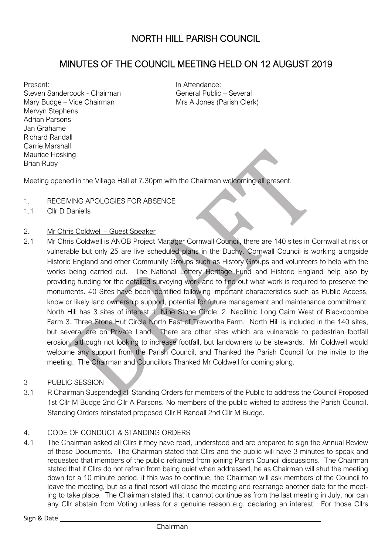# MINUTES OF THE COUNCIL MEETING HELD ON 12 AUGUST 2019

Present: Steven Sandercock - Chairman Mary Budge – Vice Chairman Mervyn Stephens Adrian Parsons Jan Grahame Richard Randall Carrie Marshall Maurice Hosking Brian Ruby

In Attendance: General Public – Several Mrs A Jones (Parish Clerk)

Meeting opened in the Village Hall at 7.30pm with the Chairman welcoming all present.

- 1. RECEIVING APOLOGIES FOR ABSENCE
- 1.1 Cllr D Daniells

### 2. Mr Chris Coldwell – Guest Speaker

- 2.1 Mr Chris Coldwell is ANOB Project Manager Cornwall Council, there are 140 sites in Cornwall at risk or vulnerable but only 25 are live scheduled plans in the Duchy. Cornwall Council is working alongside Historic England and other Community Groups such as History Groups and volunteers to help with the works being carried out. The National Lottery Heritage Fund and Historic England help also by providing funding for the detailed surveying work and to find out what work is required to preserve the monuments. 40 Sites have been identified following important characteristics such as Public Access, know or likely land ownership support, potential for future management and maintenance commitment. North Hill has 3 sites of interest 1. Nine Stone Circle, 2. Neolithic Long Cairn West of Blackcoombe Farm 3. Three Stone Hut Circle North East of Trewortha Farm. North Hill is included in the 140 sites, but several are on Private Land. There are other sites which are vulnerable to pedestrian footfall erosion, although not looking to increase footfall, but landowners to be stewards. Mr Coldwell would welcome any support from the Parish Council, and Thanked the Parish Council for the invite to the meeting. The Chairman and Councillors Thanked Mr Coldwell for coming along.
- 3 PUBLIC SESSION
- 3.1 R Chairman Suspended all Standing Orders for members of the Public to address the Council Proposed 1st Cllr M Budge 2nd Cllr A Parsons. No members of the public wished to address the Parish Council. Standing Orders reinstated proposed Cllr R Randall 2nd Cllr M Budge.

#### 4. CODE OF CONDUCT & STANDING ORDERS

4.1 The Chairman asked all Cllrs if they have read, understood and are prepared to sign the Annual Review of these Documents. The Chairman stated that Cllrs and the public will have 3 minutes to speak and requested that members of the public refrained from joining Parish Council discussions. The Chairman stated that if Cllrs do not refrain from being quiet when addressed, he as Chairman will shut the meeting down for a 10 minute period, if this was to continue, the Chairman will ask members of the Council to leave the meeting, but as a final resort will close the meeting and rearrange another date for the meeting to take place. The Chairman stated that it cannot continue as from the last meeting in July, nor can any Cllr abstain from Voting unless for a genuine reason e.g. declaring an interest. For those Cllrs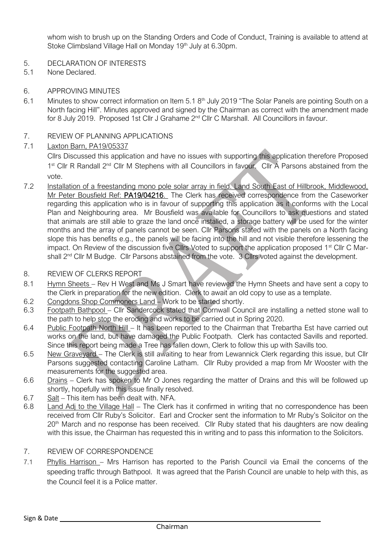whom wish to brush up on the Standing Orders and Code of Conduct, Training is available to attend at Stoke Climbsland Village Hall on Monday 19<sup>th</sup> July at 6.30pm.

- 5. DECLARATION OF INTERESTS
- 5.1 None Declared.
- 6. APPROVING MINUTES
- 6.1 Minutes to show correct information on Item 5.1 8<sup>th</sup> July 2019 "The Solar Panels are pointing South on a North facing Hill". Minutes approved and signed by the Chairman as correct with the amendment made for 8 July 2019. Proposed 1st Cllr J Grahame 2<sup>nd</sup> Cllr C Marshall. All Councillors in favour.
- 7. REVIEW OF PLANNING APPLICATIONS
- 7.1 Laxton Barn, PA19/05337

Cllrs Discussed this application and have no issues with supporting this application therefore Proposed 1<sup>st</sup> Cllr R Randall 2<sup>nd</sup> Cllr M Stephens with all Councillors in favour. Cllr A Parsons abstained from the vote.

7.2 Installation of a freestanding mono pole solar array in field. Land South East of Hillbrook, Middlewood, Mr Peter Bousfield Ref: PA19/04216. The Clerk has received correspondence from the Caseworker regarding this application who is in favour of supporting this application as it conforms with the Local Plan and Neighbouring area. Mr Bousfield was available for Councillors to ask questions and stated that animals are still able to graze the land once installed, a storage battery will be used for the winter months and the array of panels cannot be seen. Cllr Parsons stated with the panels on a North facing slope this has benefits e.g., the panels will be facing into the hill and not visible therefore lessening the impact. On Review of the discussion five Cllrs Voted to support the application proposed 1<sup>st</sup> Cllr C Marshall 2<sup>nd</sup> Cllr M Budge. Cllr Parsons abstained from the vote. 3 Cllrs voted against the development.

#### 8. REVIEW OF CLERKS REPORT

- 8.1 Hymn Sheets Rev H West and Ms J Smart have reviewed the Hymn Sheets and have sent a copy to the Clerk in preparation for the new edition. Clerk to await an old copy to use as a template.
- 6.2 Congdons Shop Commoners Land Work to be started shortly.
- 6.3 Footpath Bathpool Cllr Sandercock stated that Cornwall Council are installing a netted stone wall to the path to help stop the eroding and works to be carried out in Spring 2020.
- 6.4 Public Footpath North Hill It has been reported to the Chairman that Trebartha Est have carried out works on the land, but have damaged the Public Footpath. Clerk has contacted Savills and reported. Since this report being made a Tree has fallen down, Clerk to follow this up with Savills too.
- 6.5 New Graveyard The Clerk is still awaiting to hear from Lewannick Clerk regarding this issue, but Cllr Parsons suggested contacting Caroline Latham. Cllr Ruby provided a map from Mr Wooster with the measurements for the suggested area.
- 6.6 Drains Clerk has spoken to Mr O Jones regarding the matter of Drains and this will be followed up shortly, hopefully with this issue finally resolved.
- 6.7 Salt This item has been dealt with. NFA.
- 6.8 Land Adj to the Village Hall The Clerk has it confirmed in writing that no correspondence has been received from Cllr Ruby's Solicitor. Earl and Crocker sent the information to Mr Ruby's Solicitor on the 20<sup>th</sup> March and no response has been received. Cllr Ruby stated that his daughters are now dealing with this issue, the Chairman has requested this in writing and to pass this information to the Solicitors.

## 7. REVIEW OF CORRESPONDENCE

7.1 Phyllis Harrison – Mrs Harrison has reported to the Parish Council via Email the concerns of the speeding traffic through Bathpool. It was agreed that the Parish Council are unable to help with this, as the Council feel it is a Police matter.